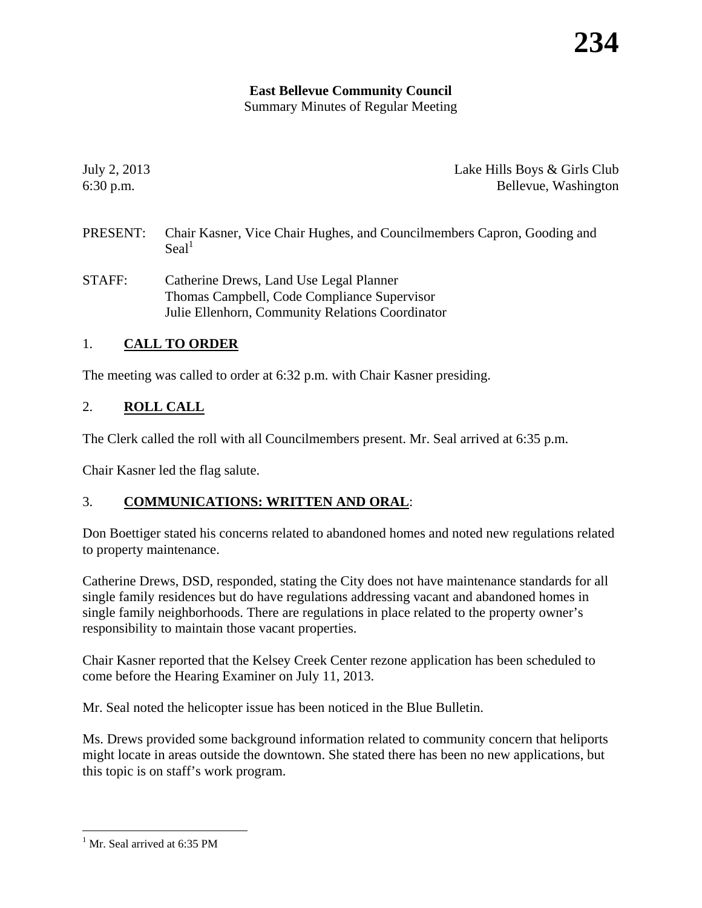# **East Bellevue Community Council**

Summary Minutes of Regular Meeting

July 2, 2013 Lake Hills Boys & Girls Club 6:30 p.m. Bellevue, Washington

- PRESENT: Chair Kasner, Vice Chair Hughes, and Councilmembers Capron, Gooding and  $Scal<sup>1</sup>$
- STAFF: Catherine Drews, Land Use Legal Planner Thomas Campbell, Code Compliance Supervisor Julie Ellenhorn, Community Relations Coordinator

# 1. **CALL TO ORDER**

The meeting was called to order at 6:32 p.m. with Chair Kasner presiding.

# 2. **ROLL CALL**

The Clerk called the roll with all Councilmembers present. Mr. Seal arrived at 6:35 p.m.

Chair Kasner led the flag salute.

## 3. **COMMUNICATIONS: WRITTEN AND ORAL**:

Don Boettiger stated his concerns related to abandoned homes and noted new regulations related to property maintenance.

Catherine Drews, DSD, responded, stating the City does not have maintenance standards for all single family residences but do have regulations addressing vacant and abandoned homes in single family neighborhoods. There are regulations in place related to the property owner's responsibility to maintain those vacant properties.

Chair Kasner reported that the Kelsey Creek Center rezone application has been scheduled to come before the Hearing Examiner on July 11, 2013.

Mr. Seal noted the helicopter issue has been noticed in the Blue Bulletin.

Ms. Drews provided some background information related to community concern that heliports might locate in areas outside the downtown. She stated there has been no new applications, but this topic is on staff's work program.

 $\overline{a}$ 

<sup>&</sup>lt;sup>1</sup> Mr. Seal arrived at 6:35 PM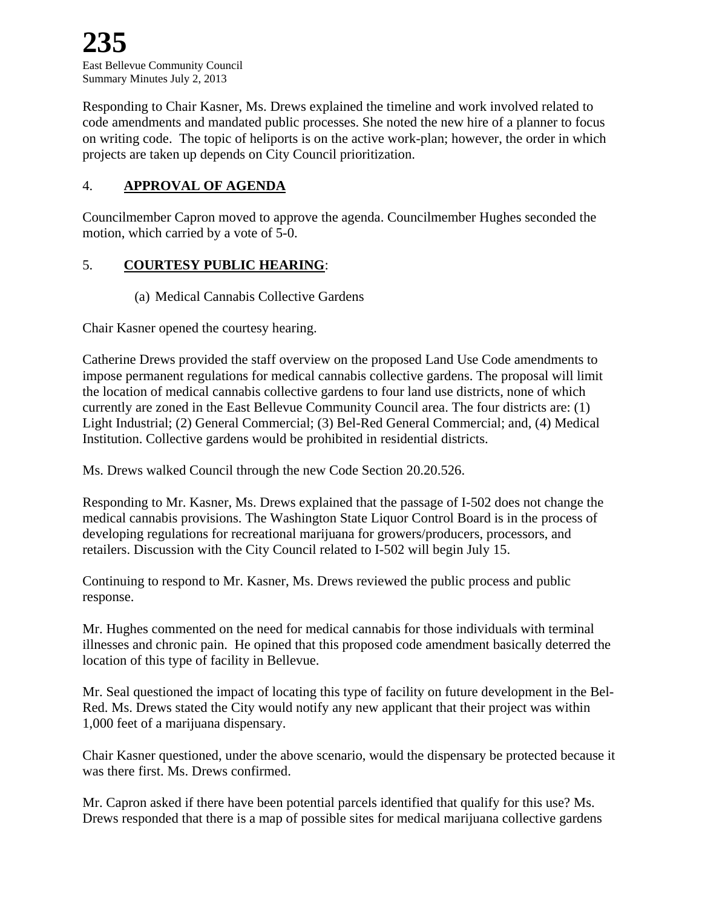Responding to Chair Kasner, Ms. Drews explained the timeline and work involved related to code amendments and mandated public processes. She noted the new hire of a planner to focus on writing code. The topic of heliports is on the active work-plan; however, the order in which projects are taken up depends on City Council prioritization.

## 4. **APPROVAL OF AGENDA**

Councilmember Capron moved to approve the agenda. Councilmember Hughes seconded the motion, which carried by a vote of 5-0.

## 5. **COURTESY PUBLIC HEARING**:

(a) Medical Cannabis Collective Gardens

Chair Kasner opened the courtesy hearing.

Catherine Drews provided the staff overview on the proposed Land Use Code amendments to impose permanent regulations for medical cannabis collective gardens. The proposal will limit the location of medical cannabis collective gardens to four land use districts, none of which currently are zoned in the East Bellevue Community Council area. The four districts are: (1) Light Industrial; (2) General Commercial; (3) Bel-Red General Commercial; and, (4) Medical Institution. Collective gardens would be prohibited in residential districts.

Ms. Drews walked Council through the new Code Section 20.20.526.

Responding to Mr. Kasner, Ms. Drews explained that the passage of I-502 does not change the medical cannabis provisions. The Washington State Liquor Control Board is in the process of developing regulations for recreational marijuana for growers/producers, processors, and retailers. Discussion with the City Council related to I-502 will begin July 15.

Continuing to respond to Mr. Kasner, Ms. Drews reviewed the public process and public response.

Mr. Hughes commented on the need for medical cannabis for those individuals with terminal illnesses and chronic pain. He opined that this proposed code amendment basically deterred the location of this type of facility in Bellevue.

Mr. Seal questioned the impact of locating this type of facility on future development in the Bel-Red. Ms. Drews stated the City would notify any new applicant that their project was within 1,000 feet of a marijuana dispensary.

Chair Kasner questioned, under the above scenario, would the dispensary be protected because it was there first. Ms. Drews confirmed.

Mr. Capron asked if there have been potential parcels identified that qualify for this use? Ms. Drews responded that there is a map of possible sites for medical marijuana collective gardens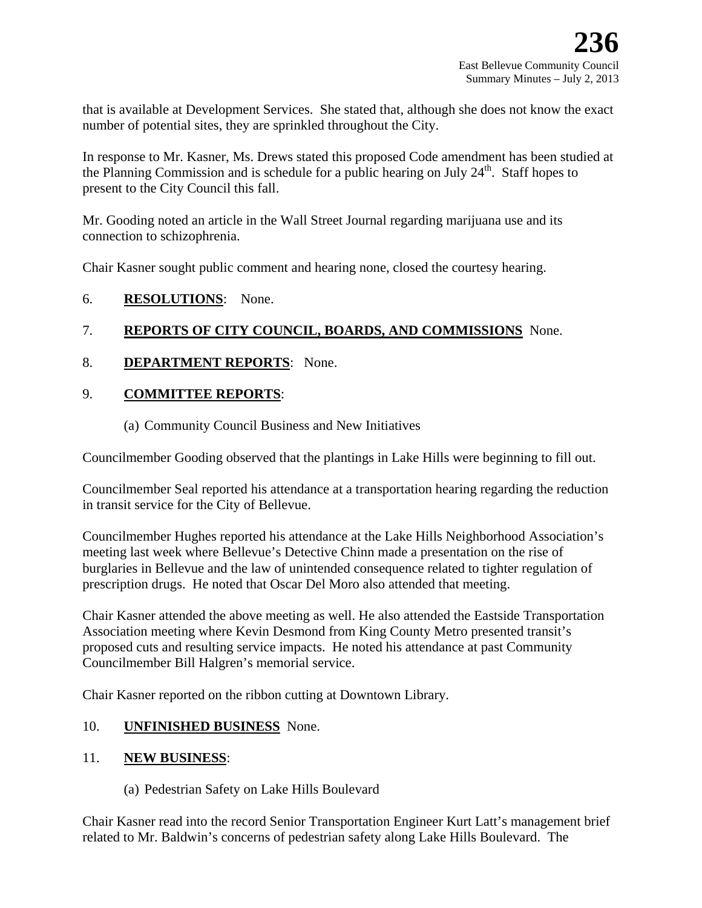that is available at Development Services. She stated that, although she does not know the exact number of potential sites, they are sprinkled throughout the City.

In response to Mr. Kasner, Ms. Drews stated this proposed Code amendment has been studied at the Planning Commission and is schedule for a public hearing on July  $24<sup>th</sup>$ . Staff hopes to present to the City Council this fall.

Mr. Gooding noted an article in the Wall Street Journal regarding marijuana use and its connection to schizophrenia.

Chair Kasner sought public comment and hearing none, closed the courtesy hearing.

## 6. **RESOLUTIONS**: None.

## 7. **REPORTS OF CITY COUNCIL, BOARDS, AND COMMISSIONS** None.

## 8. **DEPARTMENT REPORTS**: None.

## 9. **COMMITTEE REPORTS**:

(a) Community Council Business and New Initiatives

Councilmember Gooding observed that the plantings in Lake Hills were beginning to fill out.

Councilmember Seal reported his attendance at a transportation hearing regarding the reduction in transit service for the City of Bellevue.

Councilmember Hughes reported his attendance at the Lake Hills Neighborhood Association's meeting last week where Bellevue's Detective Chinn made a presentation on the rise of burglaries in Bellevue and the law of unintended consequence related to tighter regulation of prescription drugs. He noted that Oscar Del Moro also attended that meeting.

Chair Kasner attended the above meeting as well. He also attended the Eastside Transportation Association meeting where Kevin Desmond from King County Metro presented transit's proposed cuts and resulting service impacts. He noted his attendance at past Community Councilmember Bill Halgren's memorial service.

Chair Kasner reported on the ribbon cutting at Downtown Library.

## 10. **UNFINISHED BUSINESS** None.

#### 11. **NEW BUSINESS**:

(a) Pedestrian Safety on Lake Hills Boulevard

Chair Kasner read into the record Senior Transportation Engineer Kurt Latt's management brief related to Mr. Baldwin's concerns of pedestrian safety along Lake Hills Boulevard. The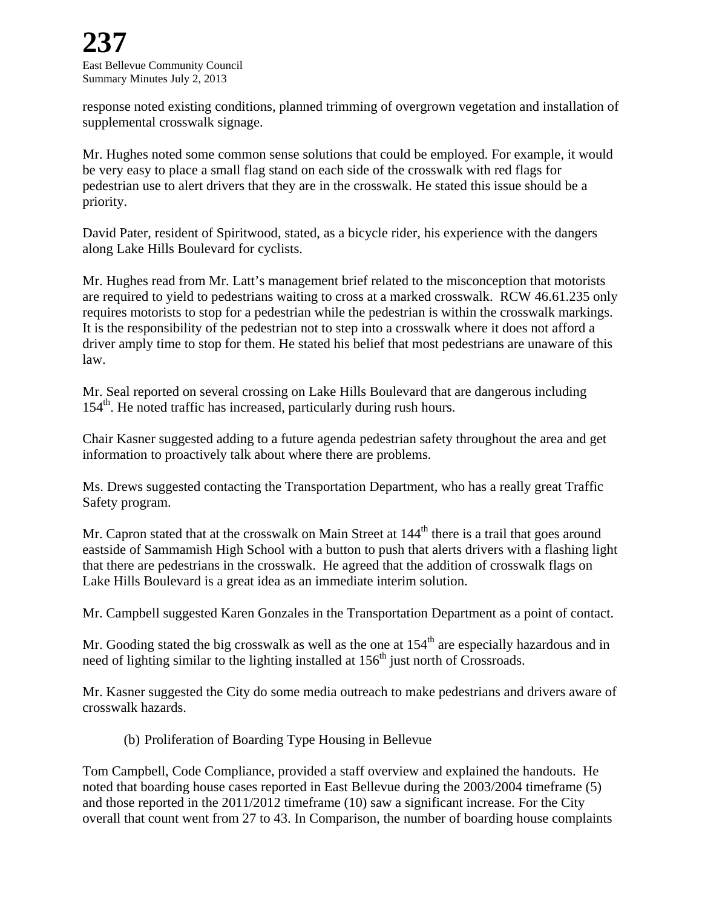East Bellevue Community Council Summary Minutes July 2, 2013

response noted existing conditions, planned trimming of overgrown vegetation and installation of supplemental crosswalk signage.

Mr. Hughes noted some common sense solutions that could be employed. For example, it would be very easy to place a small flag stand on each side of the crosswalk with red flags for pedestrian use to alert drivers that they are in the crosswalk. He stated this issue should be a priority.

David Pater, resident of Spiritwood, stated, as a bicycle rider, his experience with the dangers along Lake Hills Boulevard for cyclists.

Mr. Hughes read from Mr. Latt's management brief related to the misconception that motorists are required to yield to pedestrians waiting to cross at a marked crosswalk. RCW 46.61.235 only requires motorists to stop for a pedestrian while the pedestrian is within the crosswalk markings. It is the responsibility of the pedestrian not to step into a crosswalk where it does not afford a driver amply time to stop for them. He stated his belief that most pedestrians are unaware of this law.

Mr. Seal reported on several crossing on Lake Hills Boulevard that are dangerous including 154<sup>th</sup>. He noted traffic has increased, particularly during rush hours.

Chair Kasner suggested adding to a future agenda pedestrian safety throughout the area and get information to proactively talk about where there are problems.

Ms. Drews suggested contacting the Transportation Department, who has a really great Traffic Safety program.

Mr. Capron stated that at the crosswalk on Main Street at 144<sup>th</sup> there is a trail that goes around eastside of Sammamish High School with a button to push that alerts drivers with a flashing light that there are pedestrians in the crosswalk. He agreed that the addition of crosswalk flags on Lake Hills Boulevard is a great idea as an immediate interim solution.

Mr. Campbell suggested Karen Gonzales in the Transportation Department as a point of contact.

Mr. Gooding stated the big crosswalk as well as the one at  $154<sup>th</sup>$  are especially hazardous and in need of lighting similar to the lighting installed at  $156<sup>th</sup>$  just north of Crossroads.

Mr. Kasner suggested the City do some media outreach to make pedestrians and drivers aware of crosswalk hazards.

(b) Proliferation of Boarding Type Housing in Bellevue

Tom Campbell, Code Compliance, provided a staff overview and explained the handouts. He noted that boarding house cases reported in East Bellevue during the 2003/2004 timeframe (5) and those reported in the 2011/2012 timeframe (10) saw a significant increase. For the City overall that count went from 27 to 43. In Comparison, the number of boarding house complaints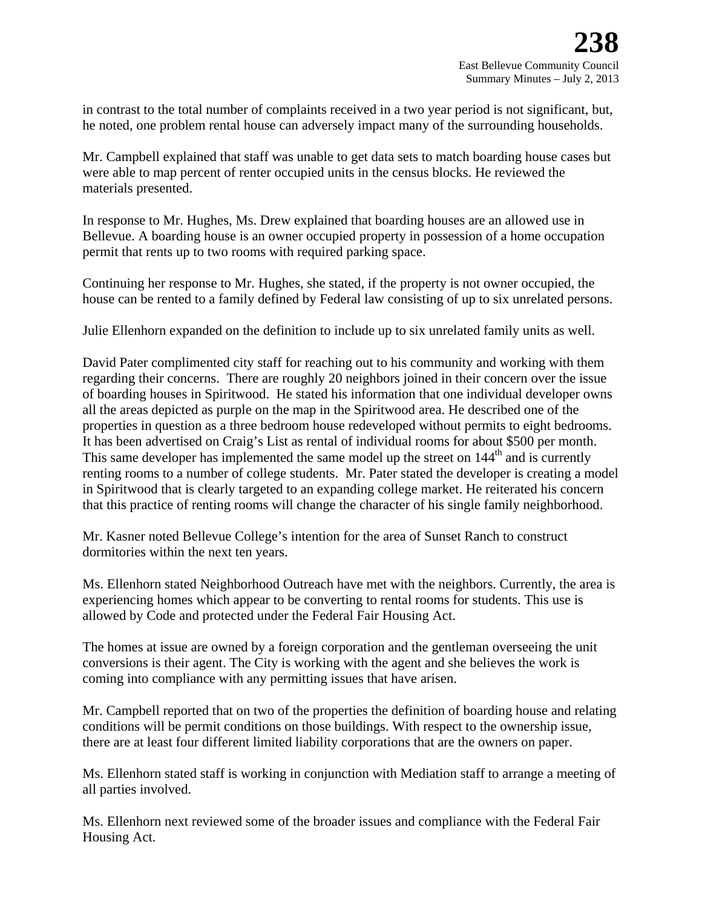in contrast to the total number of complaints received in a two year period is not significant, but, he noted, one problem rental house can adversely impact many of the surrounding households.

Mr. Campbell explained that staff was unable to get data sets to match boarding house cases but were able to map percent of renter occupied units in the census blocks. He reviewed the materials presented.

In response to Mr. Hughes, Ms. Drew explained that boarding houses are an allowed use in Bellevue. A boarding house is an owner occupied property in possession of a home occupation permit that rents up to two rooms with required parking space.

Continuing her response to Mr. Hughes, she stated, if the property is not owner occupied, the house can be rented to a family defined by Federal law consisting of up to six unrelated persons.

Julie Ellenhorn expanded on the definition to include up to six unrelated family units as well.

David Pater complimented city staff for reaching out to his community and working with them regarding their concerns. There are roughly 20 neighbors joined in their concern over the issue of boarding houses in Spiritwood. He stated his information that one individual developer owns all the areas depicted as purple on the map in the Spiritwood area. He described one of the properties in question as a three bedroom house redeveloped without permits to eight bedrooms. It has been advertised on Craig's List as rental of individual rooms for about \$500 per month. This same developer has implemented the same model up the street on 144<sup>th</sup> and is currently renting rooms to a number of college students. Mr. Pater stated the developer is creating a model in Spiritwood that is clearly targeted to an expanding college market. He reiterated his concern that this practice of renting rooms will change the character of his single family neighborhood.

Mr. Kasner noted Bellevue College's intention for the area of Sunset Ranch to construct dormitories within the next ten years.

Ms. Ellenhorn stated Neighborhood Outreach have met with the neighbors. Currently, the area is experiencing homes which appear to be converting to rental rooms for students. This use is allowed by Code and protected under the Federal Fair Housing Act.

The homes at issue are owned by a foreign corporation and the gentleman overseeing the unit conversions is their agent. The City is working with the agent and she believes the work is coming into compliance with any permitting issues that have arisen.

Mr. Campbell reported that on two of the properties the definition of boarding house and relating conditions will be permit conditions on those buildings. With respect to the ownership issue, there are at least four different limited liability corporations that are the owners on paper.

Ms. Ellenhorn stated staff is working in conjunction with Mediation staff to arrange a meeting of all parties involved.

Ms. Ellenhorn next reviewed some of the broader issues and compliance with the Federal Fair Housing Act.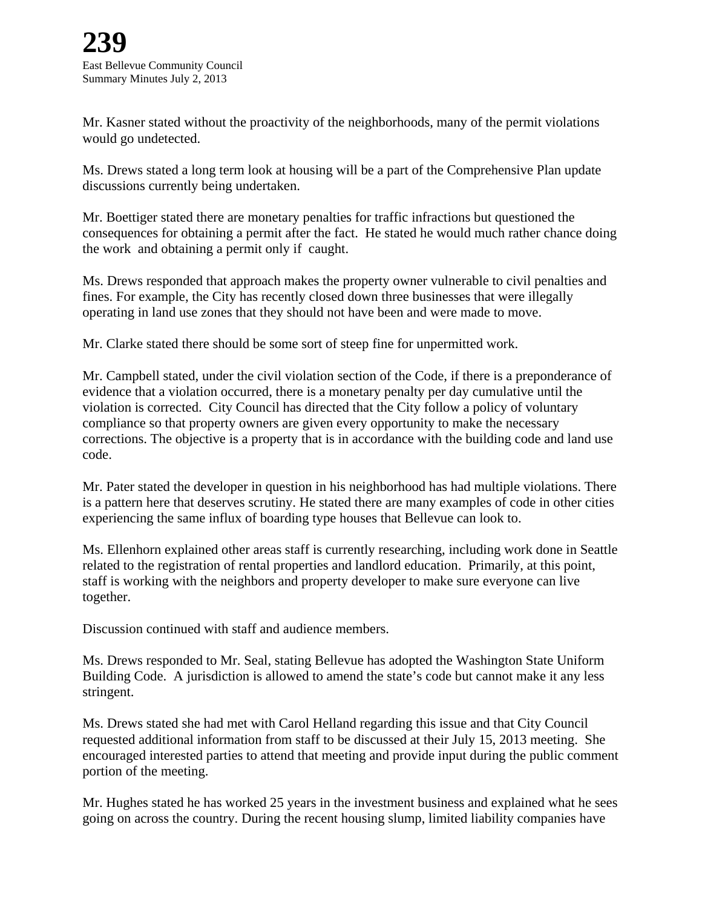Mr. Kasner stated without the proactivity of the neighborhoods, many of the permit violations would go undetected.

Ms. Drews stated a long term look at housing will be a part of the Comprehensive Plan update discussions currently being undertaken.

Mr. Boettiger stated there are monetary penalties for traffic infractions but questioned the consequences for obtaining a permit after the fact. He stated he would much rather chance doing the work and obtaining a permit only if caught.

Ms. Drews responded that approach makes the property owner vulnerable to civil penalties and fines. For example, the City has recently closed down three businesses that were illegally operating in land use zones that they should not have been and were made to move.

Mr. Clarke stated there should be some sort of steep fine for unpermitted work.

Mr. Campbell stated, under the civil violation section of the Code, if there is a preponderance of evidence that a violation occurred, there is a monetary penalty per day cumulative until the violation is corrected. City Council has directed that the City follow a policy of voluntary compliance so that property owners are given every opportunity to make the necessary corrections. The objective is a property that is in accordance with the building code and land use code.

Mr. Pater stated the developer in question in his neighborhood has had multiple violations. There is a pattern here that deserves scrutiny. He stated there are many examples of code in other cities experiencing the same influx of boarding type houses that Bellevue can look to.

Ms. Ellenhorn explained other areas staff is currently researching, including work done in Seattle related to the registration of rental properties and landlord education. Primarily, at this point, staff is working with the neighbors and property developer to make sure everyone can live together.

Discussion continued with staff and audience members.

Ms. Drews responded to Mr. Seal, stating Bellevue has adopted the Washington State Uniform Building Code. A jurisdiction is allowed to amend the state's code but cannot make it any less stringent.

Ms. Drews stated she had met with Carol Helland regarding this issue and that City Council requested additional information from staff to be discussed at their July 15, 2013 meeting. She encouraged interested parties to attend that meeting and provide input during the public comment portion of the meeting.

Mr. Hughes stated he has worked 25 years in the investment business and explained what he sees going on across the country. During the recent housing slump, limited liability companies have